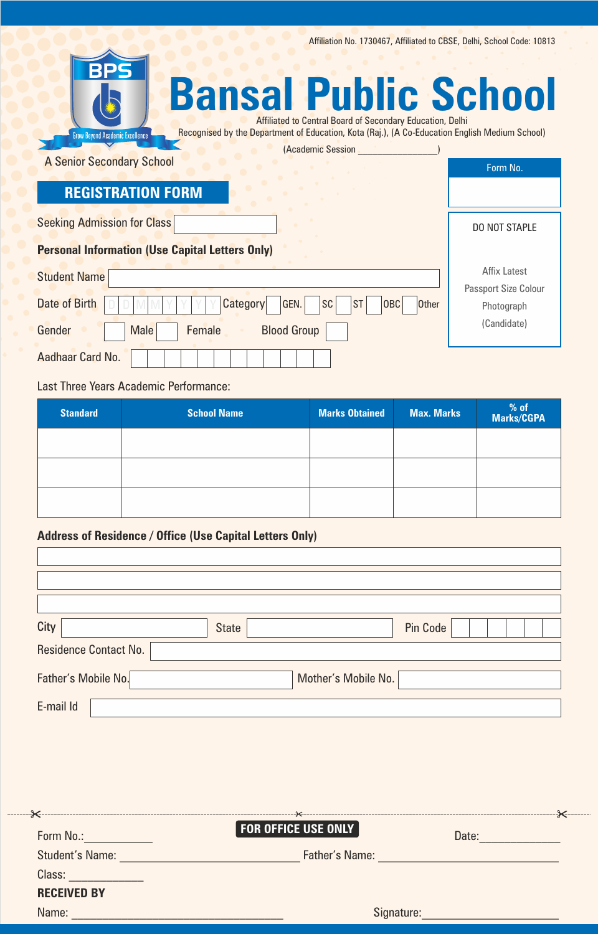Affiliation No. 1730467, Affiliated to CBSE, Delhi, School Code: 10813

| BPS<br><b>Bansal Public School</b><br>Affiliated to Central Board of Secondary Education, Delhi                                          |                                    |  |  |  |
|------------------------------------------------------------------------------------------------------------------------------------------|------------------------------------|--|--|--|
| Recognised by the Department of Education, Kota (Raj.), (A Co-Education English Medium School)<br><b>Grow Beyond Academic Excellence</b> |                                    |  |  |  |
| (Academic Session<br><b>A Senior Secondary School</b>                                                                                    |                                    |  |  |  |
|                                                                                                                                          | Form No.                           |  |  |  |
| <b>REGISTRATION FORM</b>                                                                                                                 |                                    |  |  |  |
| <b>Seeking Admission for Class</b>                                                                                                       | DO NOT STAPLE                      |  |  |  |
| <b>Personal Information (Use Capital Letters Only)</b>                                                                                   |                                    |  |  |  |
| <b>Student Name</b>                                                                                                                      | <b>Affix Latest</b>                |  |  |  |
| Date of Birth<br><b>Category</b><br>GEN.<br><b>SC</b><br><b>ST</b><br><b>OBC</b><br><b>Other</b>                                         | Passport Size Colour<br>Photograph |  |  |  |
| Gender<br><b>Blood Group</b><br><b>Male</b><br><b>Female</b>                                                                             | (Candidate)                        |  |  |  |
| Aadhaar Card No.                                                                                                                         |                                    |  |  |  |

Last Three Years Academic Performance:

| <b>Standard</b> | <b>School Name</b> | <b>Marks Obtained</b> | <b>Max. Marks</b> | % of<br>Marks/CGPA |
|-----------------|--------------------|-----------------------|-------------------|--------------------|
|                 |                    |                       |                   |                    |
|                 |                    |                       |                   |                    |
|                 |                    |                       |                   |                    |

# **Address of Residence / Office (Use Capital Letters Only)**

| City                         | <b>State</b>        | Pin Code |
|------------------------------|---------------------|----------|
| <b>Residence Contact No.</b> |                     |          |
| Father's Mobile No.          | Mother's Mobile No. |          |
| E-mail Id                    |                     |          |

| Form No.:              | <b>FOR OFFICE USE ONLY</b><br>Date: |  |
|------------------------|-------------------------------------|--|
| <b>Student's Name:</b> | Father's Name:                      |  |
| Class:                 |                                     |  |
| <b>RECEIVED BY</b>     |                                     |  |
| Name:                  | Signature:                          |  |